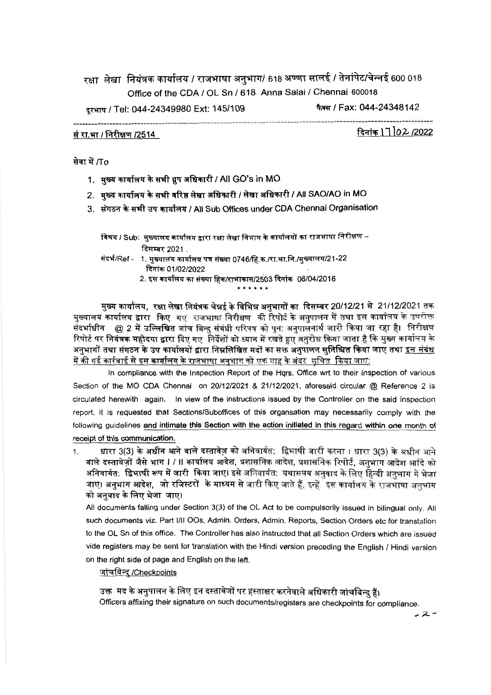रक्षा लेखा नियंत्रक कार्यालय / राजभाषा अनुभाग/ 618 अण्णा सालई / तेनांपेट/चेन्नई 600 018 Office of the CDA / OL Sn / 618 Anna Salai / Chennai 600018

दरभाष / Tel: 044-24349980 Ext: 145/109

फैक्स / Fax: 044-24348142

#### सं रा.भा / निरीक्षण /2514

दिनांक 17 02 /2022

सेवा में /To

- 1. मुख्य कार्यालय के सभी ग्रुप अधिकारी / All GO's in MO
- 2. मुख्य कार्यालय के सभी वरिष्ठ लेखा अधिकारी / लेखा अधिकारी / All SAO/AO in MO
- 3. संगठन के सभी उप कार्यालय / All Sub Offices under CDA Chennai Organisation

विषय / Sub: मुख्यालय कार्यालय द्वारा रक्षा लेखा विभाग के कार्यालयों का राजभाषा निरीक्षण – दिसम्बर 2021.

- संदर्भ/Ref 1. मुख्यालय कार्यालय पत्र संख्या 0746/हि.क./रा.भा.नि./मुख्यालय/21-22 दिनांक 01/02/2022
	- 2. इस कार्यालय का संख्या हिक/राभाकास/2503 दिनांक 06/04/2016

मुख्य कार्यालय, रक्षा लेखा नियंत्रक चेन्नई के विभिन्न अनुभागों का दिसम्बर 20/12/21 से 21/12/2021 तक मुख्यालय कार्यालय द्वारा किए गए राजभाषा निरीक्षण की रिपोर्ट के अनुपालन में तथा इस कार्यालय के उपरोक्त संदर्भाधीन @ 2 में उल्लिखित जांच बिन्दु संबंधी परिपत्र को पुन: अनुपालनार्थ जारी किया जा रहा है। निरीक्षण रिपोर्ट पर नियंत्रक महोदया द्वारा दिए गए निर्देशों को ध्यान में रखते हुए अनुरोध किया जाता है कि मुख्य कार्यालय के अनुभागों तथा संगठन के उप कार्यालयों द्वारा निम्नलिखित मदों का सक्त अनपालन सनिश्चित किया जाए तथा इस संबंध <u>में की गई कार्रवाई से इस कार्यालय के राजभाषा अनुभाग को एक माह के अंबर सूचित किया जाए:</u>

In compliance with the Inspection Report of the Hgrs. Office wrt to their inspection of various Section of the MO CDA Chennai on 20/12/2021 & 21/12/2021, aforesaid circular @ Reference 2 is circulated herewith again. In view of the instructions issued by the Controller on the said inspection report, it is requested that Sections/Suboffices of this organsation may necessarily comply with the following guidelines and intimate this Section with the action initiated in this regard within one month of receipt of this communication.

धारा 3(3) के अधीन आने वाले दस्तावेज़ को अनिवार्यत: द्विभाषी जारी करना। धारा 3(3) के अधीन आने  $1<sup>1</sup>$ वाले दस्तावेजों जैसे भाग । / ॥ कार्यालय आदेश, प्रशासनिक आदेश, प्रशासनिक रिपोर्ट, अनुभाग आदेश आदि को अनिवार्यत: द्विभाषी रूप में जारी किया जाए। इसे अनिवार्यत: यथासमय अनुवाद के लिए हिन्दी अनुभाग में भेजा जाए। अनुभाग आदेश, जो रजिस्टरों के माध्यम से जारी किए जाते हैं, इन्हें इस कार्यालय के राजभाषा अनुभाग को अनुवाद के लिए भेजा जाए।

All documents falling under Section 3(3) of the OL Act to be compulsorily issued in bilingual only. All such documents viz. Part I/II OOs, Admin. Orders, Admin. Reports, Section Orders etc for translation to the OL Sn of this office. The Controller has also instructed that all Section Orders which are issued vide registers may be sent for translation with the Hindi version preceding the English / Hindi version on the right side of page and English on the left.

#### <u>जांचविन्द /Checkpoints</u>

उक्त मद के अनपालन के लिए इन दस्तावेजों पर हस्ताक्षर करनेवाले अधिकारी जांचबिन्द हैं। Officers affixing their signature on such documents/registers are checkpoints for compliance.

 $-2-$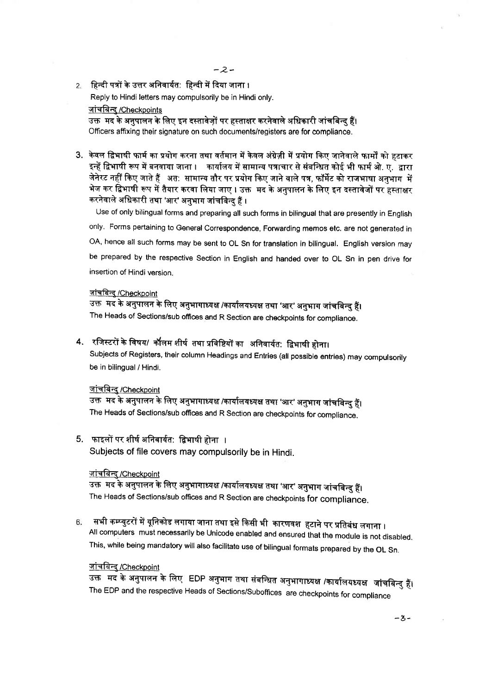2. हिन्दी पत्रों के उत्तर अनिवार्यत: हिन्दी में दिया जाना ।

Reply to Hindi letters may compulsorily be in Hindi only.

# जांचबिन्द /Checkpoints

उक्त मद के अनपालन के लिए इन दस्तावेजों पर हस्ताक्षर करनेवाले अधिकारी जांचबिन्दु हैं। Officers affixing their signature on such documents/registers are for compliance.

3. केवल द्विभाषी फार्म का प्रयोग करना तथा वर्तमान में केवल अंग्रेज़ी में प्रयोग किए जानेवाले फार्मों को हटाकर इन्हें द्विभाषी रूप में बनवाया जाना । कार्यालय में सामान्य पत्राचार से संबन्धित कोई भी फार्म ओ. ए. द्वारा जेनेरट नहीं किए जाते हैं | अत: सामान्य तौर पर प्रयोग किए जाने वाले पत्र, फॉर्मेट को राजभाषा अनभाग में भेज कर द्विभाषी रूप में तैयार करवा लिया जाए । उक्त मद के अनपालन के लिए इन दस्तावेजों पर हस्ताक्षर करनेवाले अधिकारी तथा 'आर' अनुभाग जांचबिन्दु हैं ।

Use of only bilingual forms and preparing all such forms in bilingual that are presently in English only. Forms pertaining to General Correspondence, Forwarding memos etc. are not generated in OA, hence all such forms may be sent to OL Sn for translation in bilingual. English version may be prepared by the respective Section in English and handed over to OL Sn in pen drive for insertion of Hindi version.

## जांचबिन्द् /Checkpoint

उक्त मद के अनुपालन के लिए अनुभागाध्यक्ष /कार्यालयध्यक्ष तथा 'आर' अनुभाग जांचबिन्दु हैं। The Heads of Sections/sub offices and R Section are checkpoints for compliance.

4. रजिस्टरों के विषय/ कॉलम शीर्ष तथा प्रविष्टियों का अनिवार्यत: द्विभाषी होना।

Subjects of Registers, their column Headings and Entries (all possible entries) may compulsorily be in bilingual / Hindi.

#### <u>जांचबिन्द</u> /Checkpoint

उक्त मद के अनुपालन के लिए अनुभागाध्यक्ष /कार्यालयध्यक्ष तथा 'आर' अनुभाग जांचबिन्द हैं। The Heads of Sections/sub offices and R Section are checkpoints for compliance.

# 5. फाइलों पर शीर्ष अनिवार्यत: द्विभाषी होना ।

Subjects of file covers may compulsorily be in Hindi.

## <u>जांचबिन्दु/Checkpoint</u>

उक्त मद के अनुपालन के लिए अनुभागाध्यक्ष /कार्यालयध्यक्ष तथा 'आर' अनुभाग जांचबिन्दु हैं। The Heads of Sections/sub offices and R Section are checkpoints for compliance.

सभी कम्प्युटरों में यूनिकोड लगाया जाना तथा इसे किसी भी कारणवश हटाने पर प्रतिबंध लगाना । 6 All computers must necessarily be Unicode enabled and ensured that the module is not disabled. This, while being mandatory will also facilitate use of bilingual formats prepared by the OL Sn.

# जांचबिन्द /Checkpoint

उक्त मद के अनुपालन के लिए EDP अनुभाग तथा संबन्धित अनुभागाध्यक्ष /कार्यालयध्यक्ष जांचबिन्दु हैं। The EDP and the respective Heads of Sections/Suboffices are checkpoints for compliance